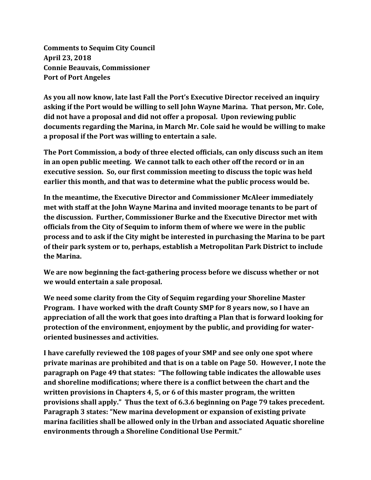**Comments to Sequim City Council April 23, 2018 Connie Beauvais, Commissioner Port of Port Angeles**

**As you all now know, late last Fall the Port's Executive Director received an inquiry asking if the Port would be willing to sell John Wayne Marina. That person, Mr. Cole, did not have a proposal and did not offer a proposal. Upon reviewing public documents regarding the Marina, in March Mr. Cole said he would be willing to make a proposal if the Port was willing to entertain a sale.**

**The Port Commission, a body of three elected officials, can only discuss such an item in an open public meeting. We cannot talk to each other off the record or in an executive session. So, our first commission meeting to discuss the topic was held earlier this month, and that was to determine what the public process would be.**

**In the meantime, the Executive Director and Commissioner McAleer immediately met with staff at the John Wayne Marina and invited moorage tenants to be part of the discussion. Further, Commissioner Burke and the Executive Director met with officials from the City of Sequim to inform them of where we were in the public process and to ask if the City might be interested in purchasing the Marina to be part of their park system or to, perhaps, establish a Metropolitan Park District to include the Marina.**

**We are now beginning the fact-gathering process before we discuss whether or not we would entertain a sale proposal.**

**We need some clarity from the City of Sequim regarding your Shoreline Master Program. I have worked with the draft County SMP for 8 years now, so I have an appreciation of all the work that goes into drafting a Plan that is forward looking for protection of the environment, enjoyment by the public, and providing for wateroriented businesses and activities.** 

**I have carefully reviewed the 108 pages of your SMP and see only one spot where private marinas are prohibited and that is on a table on Page 50. However, I note the paragraph on Page 49 that states: "The following table indicates the allowable uses and shoreline modifications; where there is a conflict between the chart and the written provisions in Chapters 4, 5, or 6 of this master program, the written provisions shall apply." Thus the text of 6.3.6 beginning on Page 79 takes precedent. Paragraph 3 states: "New marina development or expansion of existing private marina facilities shall be allowed only in the Urban and associated Aquatic shoreline environments through a Shoreline Conditional Use Permit."**